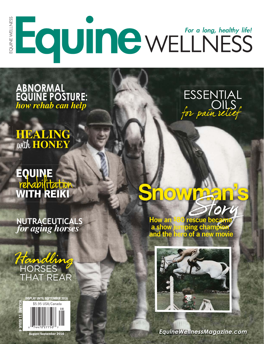

*how rehab can help* **EQUINE POST how rehab can help** 

**HEALING** with **HONEY**

# rehabilita **rehabilitation**<br>**WITH REIKI**

*for aging horses* **NUTRACEUTICALS**







Snowman<sup>'s</sup> S

How an \$80 rescue became<br>a show jumping champion a show jumping champion<br>and the hero of a new movi ro of a new movie



Equine Wellness Equine <sup>1</sup> **EquineWellnessMagazine.com**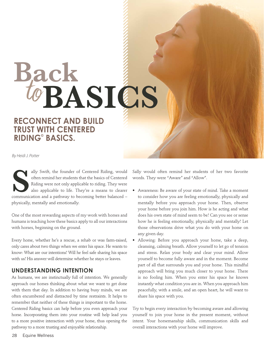# **Back**to**BASICS RECONNECT AND BUILD**

**TRUST WITH CENTERED RIDING® BASICS. RIDING© BASICS.**

*By Heidi J. Potter*

ally Swift, the founder of Centered Riding, would<br>often remind her students that the basics of Centered<br>Riding were not only applicable to riding. They were<br>also applicable to life. They're a means to clearer often remind her students that the basics of Centered Riding were not only applicable to riding. They were also applicable to life. They're a means to clearer communication and a pathway to becoming better balanced – physically, mentally and emotionally.

One of the most rewarding aspects of my work with horses and humans is teaching how these basics apply to all our interactions with horses, beginning on the ground.

Every horse, whether he's a rescue, a rehab or was farm-raised, only cares about two things when we enter his space. He wants to know: What are our intentions? Will he feel safe sharing his space with us? His answer will determine whether he stays or leaves.

## **UNDERSTANDING INTENTION**

As humans, we are instinctually full of intention. We generally approach our horses thinking about what we want to get done with them that day. In addition to having busy minds, we are often encumbered and distracted by time restraints. It helps to remember that neither of these things is important to the horse. Centered Riding basics can help before you even approach your horse. Incorporating them into your routine will help lead you to a more positive interaction with your horse, thus opening the pathway to a more trusting and enjoyable relationship.

Sally would often remind her students of her two favorite words. They were "Aware" and "Allow".

- Awareness: Be aware of your state of mind. Take a moment to consider how you are feeling emotionally, physically and mentally before you approach your horse. Then, observe your horse before you join him. How is he acting and what does his own state of mind seem to be? Can you see or sense how he is feeling emotionally, physically and mentally? Let those observations drive what you do with your horse on any given day.
- Allowing: Before you approach your horse, take a deep, cleansing, calming breath. Allow yourself to let go of tension and stress. Relax your body and clear your mind. Allow yourself to become fully aware and in the moment. Become part of all that surrounds you and your horse. This mindful approach will bring you much closer to your horse. There is no fooling him. When you enter his space he knows instantly what condition you are in. When you approach him peacefully, with a smile, and an open heart, he will want to share his space with you.

Try to begin every interaction by becoming aware and allowing yourself to join your horse in the present moment, without intent. Your horsemanship skills, communication skills and overall interactions with your horse will improve.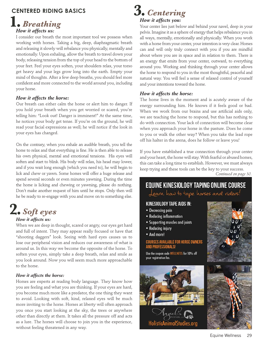## **CENTERED RIDING BASICS**<br>1. *Breathing*

## *How it affects us:*

I consider our breath the most important tool we possess when working with horses. Taking a big, deep, diaphragmatic breath and releasing it slowly will rebalance you physically, mentally and emotionally. Upon exhaling, allow the breath to travel down your body, releasing tension from the top of your head to the bottom of your feet. Feel your eyes soften, your shoulders relax, your torso get heavy and your legs grow long into the earth. Empty your mind of thoughts. After a few deep breaths, you should feel more confident and more connected to the world around you, including your horse.

## *How it affects the horse:*

Our breath can either calm the horse or alert him to danger. If you hold your breath when you get worried or scared, you're telling him: "Look out! Danger is imminent!" At the same time, he notices your body get tense. If you're on the ground, he will read your facial expressions as well; he will notice if the look in your eyes has changed.

On the contrary, when you exhale an audible breath, you tell the horse to relax and that everything is fine. He is then able to release his own physical, mental and emotional tensions. His eyes will soften and start to blink. His body will relax, his head may lower, and if you wait long enough (which you need to), he will begin to lick and chew or yawn. Some horses will offer a huge release and spend several seconds or even minutes yawning. During the time the horse is licking and chewing or yawning, please do nothing. Don't make another request of him until he stops. Only then will he be ready to re-engage with you and move on to something else.

## **2.**

### *How it affects us: soft* extends the *set of tests* us:

When we are deep in thought, scared or angry, our eyes get hard and full of intent. They may appear really focused or have that "shooting daggers" look. Seeing with hard eyes causes us to lose our peripheral vision and reduces our awareness of what is around us. In this way we become the opposite of the horse. To soften your eyes, simply take a deep breath, relax and smile as you look around. Now you will seem much more approachable to the horse.

## *How it affects the horse:*

Horses are experts at reading body language. They know how you are feeling and what you are thinking. If your eyes are hard, you become much more like a predator, the one thing they want to avoid. Looking with soft, kind, relaxed eyes will be much more inviting to the horse. Horses at liberty will often approach you once you start looking at the sky, the trees or anywhere other than directly at them. It takes all the pressure off and acts as a lure. The horses will choose to join you in the experience, without feeling threatened in any way.



## *How it affects you:*

Your center lies just below and behind your navel, deep in your pelvis. Imagine it as a sphere of energy that helps rebalance you in all ways, mentally, emotionally and physically. When you work with a horse from your center, your intention is very clear. Horses can and will only truly connect with you if you are mindful about where you are in space and in relation to them. There is an energy that emits from your center, outward, to everything around you. Working and thinking through your center allows the horse to respond to you in the most thoughtful, peaceful and natural way. You will feel a sense of relaxed control of yourself and your intentions toward the horse.

## *How it affects the horse:*

The horse lives in the moment and is acutely aware of the energy surrounding him. He knows if it feels good or bad. When we work from our brains and use artificial aids only, we are teaching the horse to respond, but this has nothing to do with connection. Your lack of connection will become clear when you approach your horse in the pasture. Does he come to you or walk the other way? When you take the lead rope off his halter in the arena, does he follow or leave you?

If you have established a true connection through your center and your heart, the horse will stay. With fearful or abused horses, this can take a long time to establish. However, we must always keep trying and these tools can be the key to your success.

*Continued on page 30.*

## **EQUINE KINESIOLOGY TAPING ONLINE COURSE**

Learn haw to tape horses and riders!

## **KINESIOLOGY TAPE AIDS IN:**

- Decreasing pain
- Reducing inflammation
- Supporting muscles and joints
- Reducing injury
- And more!

### **COURSES AVAILABLE FOR HORSE OWNERS AND PROFFSSIONALS!**

Use the coupon code WELLNESS for 10% off your registration fee.





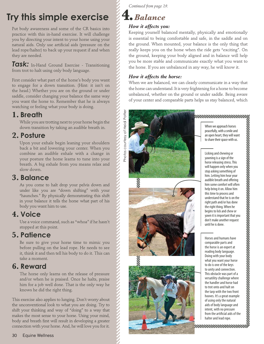Put body awareness and some of the CR basics into practice with this in-hand exercise. It will challenge you by directing your intent to your horse using your natural aids. Only use artificial aids (pressure on the lead rope/halter) to back up your request if and when they are needed.

*Task:* In-Hand Ground Exercise - Transitioning from trot to halt using only body language.

First consider what part of the horse's body you want to engage for a down transition. (Hint: it isn't on the head.) Whether you are on the ground or under saddle, consider changing your balance the same way you want the horse to. Remember that he is always watching or feeling what your body is doing.

**1. Breath** While you are trotting next to your horse begin the down transition by taking an audible breath in.

**2. Posture** Upon your exhale begin leaning your shoulders back a bit and lowering your center. When you combine an audible exhale with a change in your posture the horse learns to tune into your breath. A big exhale from you means relax and slow down.

**3. Balance**<br>As you come to halt drop your pelvis down and under like you are "down shifting" with your "haunches." By physically demonstrating this shift in your balance it tells the horse what part of his body you want him to use.

**4. Voice** Use a voice command, such as "whoa" if he hasn't stopped at this point.

**5. Patience**<br>Be sure to give your horse time to mimic you before pulling on the lead rope. He needs to see it, think it and then tell his body to do it. This can take a moment.

**6. Reward**<br>The horse only learns on the release of pressure and/or when he is praised. Once he halts, praise him for a job well done. That is the only way he knows he did the right thing.

This exercise also applies to lunging. Don't worry about the unconventional look to what you are doing. Try to shift your thinking and way of "doing" to a way that makes the most sense to your horse. Using your mind, body and breath first will result in developing a greater connection with your horse. And, he will love you for it.

*Continued from page 29.*

## **4.***Balance*

## *How it affects you:*

Keeping yourself balanced mentally, physically and emotionally is essential to being comfortable and safe, in the saddle and on the ground. When mounted, your balance is the only thing that really keeps you on the horse when the ride gets "exciting". On the ground, keeping your body aligned and in balance will help you be more stable and communicate exactly what you want to the horse. If you are unbalanced in any way, he will know it.

## *How it affects the horse:*

When we are balanced, we can clearly communicate in a way that the horse can understand. It is very frightening for a horse to become unbalanced, whether on the ground or under saddle. Being aware of your center and comparable parts helps us stay balanced, which



When we approach horses peacefully, with a smile and an open heart, they will want to share their space with us.

Licking and chewing or yawning is a sign of the horse releasing stress. This will happen only when you stop asking something of him. Letting him hear your audible breath and offering him some comfort will often help bring it on. Allow him this time to process and understand that he is on the right path and/or has done the right thing. When he begins to lick and chew or yawn it is important that you don't make another request until he is done.

Horses and humans have comparable parts and the horse is an expert at reading body language. Doing with your body what you want your horse to do is one of the keys to unity and connection. This obstacle was part of a versatility challenge where the handler and horse had to trot onto and halt on the tarp with the two front hooves. It's a great example of using only the natural aids of body language and intent, with no pressure from the artificial aids of the halter and lead rope.